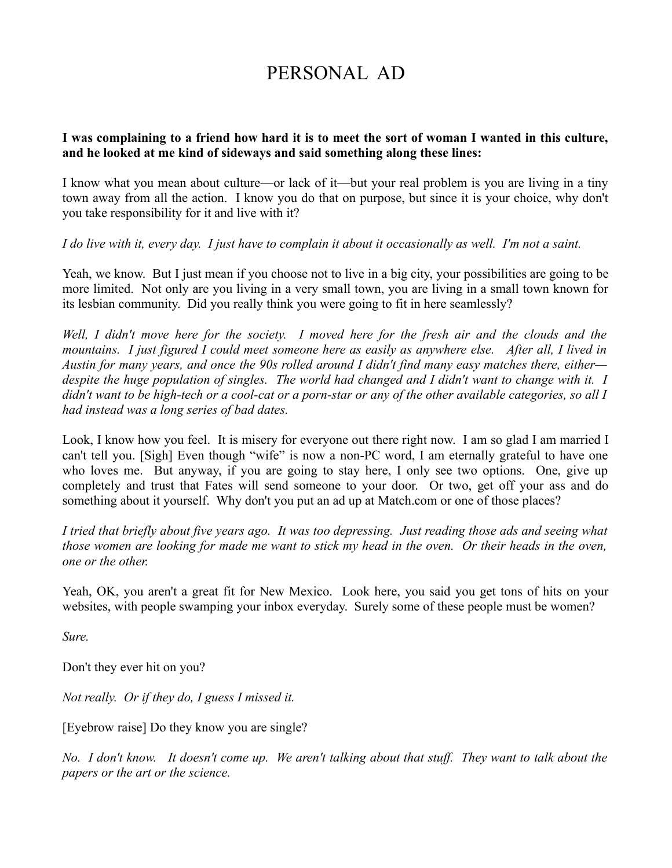# PERSONAL AD

#### **I was complaining to a friend how hard it is to meet the sort of woman I wanted in this culture, and he looked at me kind of sideways and said something along these lines:**

I know what you mean about culture—or lack of it—but your real problem is you are living in a tiny town away from all the action. I know you do that on purpose, but since it is your choice, why don't you take responsibility for it and live with it?

*I do live with it, every day. I just have to complain it about it occasionally as well. I'm not a saint.*

Yeah, we know. But I just mean if you choose not to live in a big city, your possibilities are going to be more limited. Not only are you living in a very small town, you are living in a small town known for its lesbian community. Did you really think you were going to fit in here seamlessly?

*Well, I didn't move here for the society. I moved here for the fresh air and the clouds and the mountains. I just figured I could meet someone here as easily as anywhere else. After all, I lived in Austin for many years, and once the 90s rolled around I didn't find many easy matches there, either despite the huge population of singles. The world had changed and I didn't want to change with it. I didn't want to be high-tech or a cool-cat or a porn-star or any of the other available categories, so all I had instead was a long series of bad dates.* 

Look, I know how you feel. It is misery for everyone out there right now. I am so glad I am married I can't tell you. [Sigh] Even though "wife" is now a non-PC word, I am eternally grateful to have one who loves me. But anyway, if you are going to stay here, I only see two options. One, give up completely and trust that Fates will send someone to your door. Or two, get off your ass and do something about it yourself. Why don't you put an ad up at Match.com or one of those places?

*I tried that briefly about five years ago. It was too depressing. Just reading those ads and seeing what those women are looking for made me want to stick my head in the oven. Or their heads in the oven, one or the other.* 

Yeah, OK, you aren't a great fit for New Mexico. Look here, you said you get tons of hits on your websites, with people swamping your inbox everyday. Surely some of these people must be women?

*Sure.*

Don't they ever hit on you?

*Not really. Or if they do, I guess I missed it.* 

[Eyebrow raise] Do they know you are single?

*No. I don't know. It doesn't come up. We aren't talking about that stuff. They want to talk about the papers or the art or the science.*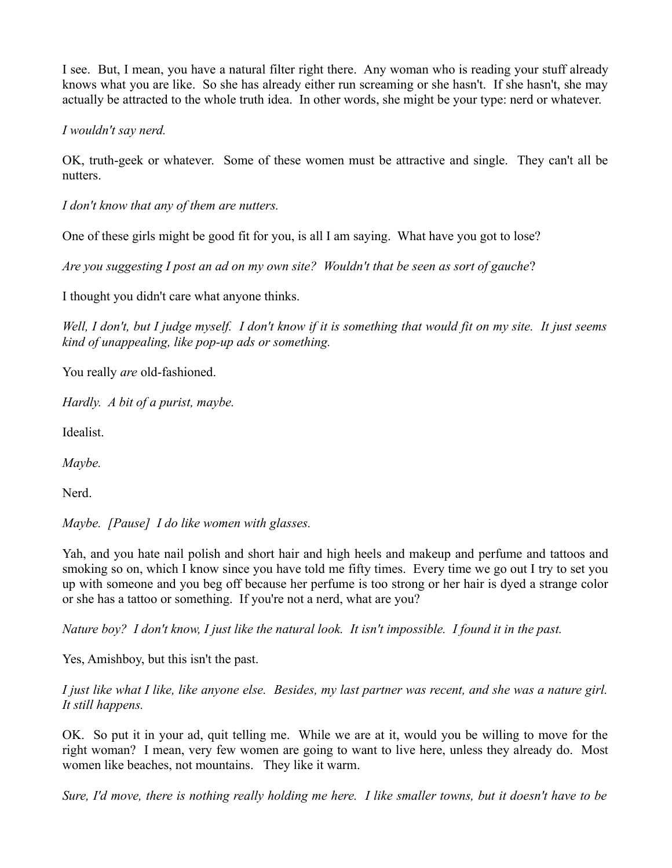I see. But, I mean, you have a natural filter right there. Any woman who is reading your stuff already knows what you are like. So she has already either run screaming or she hasn't. If she hasn't, she may actually be attracted to the whole truth idea. In other words, she might be your type: nerd or whatever.

*I wouldn't say nerd.*

OK, truth-geek or whatever. Some of these women must be attractive and single. They can't all be nutters.

*I don't know that any of them are nutters.* 

One of these girls might be good fit for you, is all I am saying. What have you got to lose?

*Are you suggesting I post an ad on my own site? Wouldn't that be seen as sort of gauche*?

I thought you didn't care what anyone thinks.

*Well, I don't, but I judge myself. I don't know if it is something that would fit on my site. It just seems kind of unappealing, like pop-up ads or something.* 

You really *are* old-fashioned.

*Hardly. A bit of a purist, maybe.* 

Idealist.

*Maybe.*

Nerd.

*Maybe. [Pause] I do like women with glasses.*

Yah, and you hate nail polish and short hair and high heels and makeup and perfume and tattoos and smoking so on, which I know since you have told me fifty times. Every time we go out I try to set you up with someone and you beg off because her perfume is too strong or her hair is dyed a strange color or she has a tattoo or something. If you're not a nerd, what are you?

*Nature boy? I don't know, I just like the natural look. It isn't impossible. I found it in the past.*

Yes, Amishboy, but this isn't the past.

*I just like what I like, like anyone else. Besides, my last partner was recent, and she was a nature girl. It still happens.* 

OK. So put it in your ad, quit telling me. While we are at it, would you be willing to move for the right woman? I mean, very few women are going to want to live here, unless they already do. Most women like beaches, not mountains. They like it warm.

*Sure, I'd move, there is nothing really holding me here. I like smaller towns, but it doesn't have to be*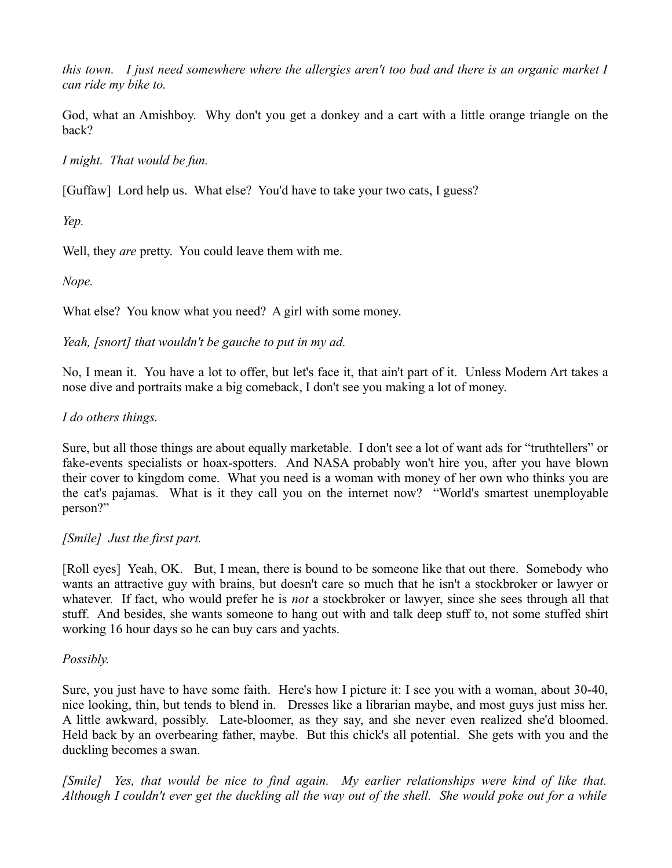*this town. I just need somewhere where the allergies aren't too bad and there is an organic market I can ride my bike to.*

God, what an Amishboy. Why don't you get a donkey and a cart with a little orange triangle on the back?

*I might. That would be fun.*

[Guffaw] Lord help us. What else? You'd have to take your two cats, I guess?

*Yep.*

Well, they *are* pretty. You could leave them with me.

*Nope.*

What else? You know what you need? A girl with some money.

## *Yeah, [snort] that wouldn't be gauche to put in my ad.*

No, I mean it. You have a lot to offer, but let's face it, that ain't part of it. Unless Modern Art takes a nose dive and portraits make a big comeback, I don't see you making a lot of money.

## *I do others things.*

Sure, but all those things are about equally marketable. I don't see a lot of want ads for "truthtellers" or fake-events specialists or hoax-spotters. And NASA probably won't hire you, after you have blown their cover to kingdom come. What you need is a woman with money of her own who thinks you are the cat's pajamas. What is it they call you on the internet now? "World's smartest unemployable person?"

## *[Smile] Just the first part.*

[Roll eyes] Yeah, OK. But, I mean, there is bound to be someone like that out there. Somebody who wants an attractive guy with brains, but doesn't care so much that he isn't a stockbroker or lawyer or whatever. If fact, who would prefer he is *not* a stockbroker or lawyer, since she sees through all that stuff. And besides, she wants someone to hang out with and talk deep stuff to, not some stuffed shirt working 16 hour days so he can buy cars and yachts.

### *Possibly.*

Sure, you just have to have some faith. Here's how I picture it: I see you with a woman, about 30-40, nice looking, thin, but tends to blend in. Dresses like a librarian maybe, and most guys just miss her. A little awkward, possibly. Late-bloomer, as they say, and she never even realized she'd bloomed. Held back by an overbearing father, maybe. But this chick's all potential. She gets with you and the duckling becomes a swan.

*[Smile] Yes, that would be nice to find again. My earlier relationships were kind of like that. Although I couldn't ever get the duckling all the way out of the shell. She would poke out for a while*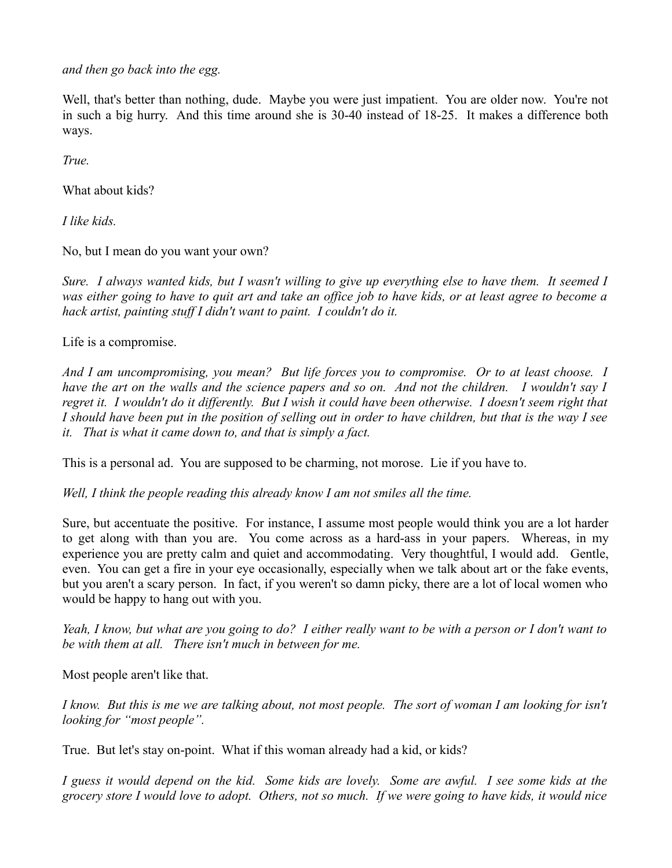*and then go back into the egg.* 

Well, that's better than nothing, dude. Maybe you were just impatient. You are older now. You're not in such a big hurry. And this time around she is 30-40 instead of 18-25. It makes a difference both ways.

*True.* 

What about kids?

*I like kids.*

No, but I mean do you want your own?

*Sure. I always wanted kids, but I wasn't willing to give up everything else to have them. It seemed I was either going to have to quit art and take an office job to have kids, or at least agree to become a hack artist, painting stuff I didn't want to paint. I couldn't do it.* 

Life is a compromise.

*And I am uncompromising, you mean? But life forces you to compromise. Or to at least choose. I have the art on the walls and the science papers and so on. And not the children. I wouldn't say I regret it. I wouldn't do it differently. But I wish it could have been otherwise. I doesn't seem right that I should have been put in the position of selling out in order to have children, but that is the way I see it. That is what it came down to, and that is simply a fact.*

This is a personal ad. You are supposed to be charming, not morose. Lie if you have to.

*Well, I think the people reading this already know I am not smiles all the time.*

Sure, but accentuate the positive. For instance, I assume most people would think you are a lot harder to get along with than you are. You come across as a hard-ass in your papers. Whereas, in my experience you are pretty calm and quiet and accommodating. Very thoughtful, I would add. Gentle, even. You can get a fire in your eye occasionally, especially when we talk about art or the fake events, but you aren't a scary person. In fact, if you weren't so damn picky, there are a lot of local women who would be happy to hang out with you.

*Yeah, I know, but what are you going to do? I either really want to be with a person or I don't want to be with them at all. There isn't much in between for me.*

Most people aren't like that.

*I know. But this is me we are talking about, not most people. The sort of woman I am looking for isn't looking for "most people".* 

True. But let's stay on-point. What if this woman already had a kid, or kids?

*I guess it would depend on the kid. Some kids are lovely. Some are awful. I see some kids at the grocery store I would love to adopt. Others, not so much. If we were going to have kids, it would nice*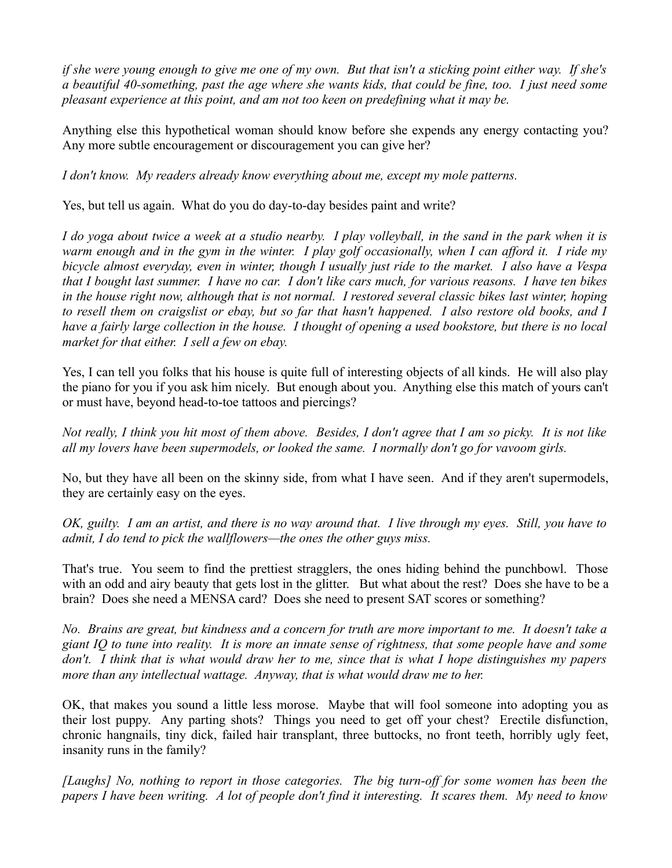*if she were young enough to give me one of my own. But that isn't a sticking point either way. If she's a beautiful 40-something, past the age where she wants kids, that could be fine, too. I just need some pleasant experience at this point, and am not too keen on predefining what it may be.* 

Anything else this hypothetical woman should know before she expends any energy contacting you? Any more subtle encouragement or discouragement you can give her?

*I don't know. My readers already know everything about me, except my mole patterns.* 

Yes, but tell us again. What do you do day-to-day besides paint and write?

*I do yoga about twice a week at a studio nearby. I play volleyball, in the sand in the park when it is warm enough and in the gym in the winter. I play golf occasionally, when I can afford it. I ride my bicycle almost everyday, even in winter, though I usually just ride to the market. I also have a Vespa that I bought last summer. I have no car. I don't like cars much, for various reasons. I have ten bikes in the house right now, although that is not normal. I restored several classic bikes last winter, hoping to resell them on craigslist or ebay, but so far that hasn't happened. I also restore old books, and I have a fairly large collection in the house. I thought of opening a used bookstore, but there is no local market for that either. I sell a few on ebay.*

Yes, I can tell you folks that his house is quite full of interesting objects of all kinds. He will also play the piano for you if you ask him nicely. But enough about you. Anything else this match of yours can't or must have, beyond head-to-toe tattoos and piercings?

*Not really, I think you hit most of them above. Besides, I don't agree that I am so picky. It is not like all my lovers have been supermodels, or looked the same. I normally don't go for vavoom girls.*

No, but they have all been on the skinny side, from what I have seen. And if they aren't supermodels, they are certainly easy on the eyes.

*OK, guilty. I am an artist, and there is no way around that. I live through my eyes. Still, you have to admit, I do tend to pick the wallflowers—the ones the other guys miss.* 

That's true. You seem to find the prettiest stragglers, the ones hiding behind the punchbowl. Those with an odd and airy beauty that gets lost in the glitter. But what about the rest? Does she have to be a brain? Does she need a MENSA card? Does she need to present SAT scores or something?

*No. Brains are great, but kindness and a concern for truth are more important to me. It doesn't take a giant IQ to tune into reality. It is more an innate sense of rightness, that some people have and some don't. I think that is what would draw her to me, since that is what I hope distinguishes my papers more than any intellectual wattage. Anyway, that is what would draw me to her.*

OK, that makes you sound a little less morose. Maybe that will fool someone into adopting you as their lost puppy. Any parting shots? Things you need to get off your chest? Erectile disfunction, chronic hangnails, tiny dick, failed hair transplant, three buttocks, no front teeth, horribly ugly feet, insanity runs in the family?

*[Laughs] No, nothing to report in those categories. The big turn-off for some women has been the papers I have been writing. A lot of people don't find it interesting. It scares them. My need to know*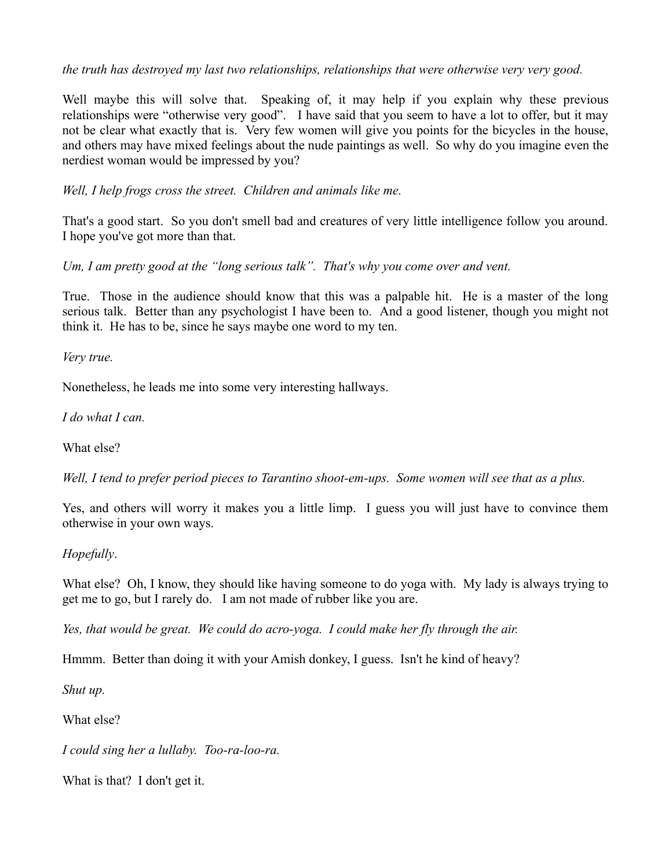*the truth has destroyed my last two relationships, relationships that were otherwise very very good.* 

Well maybe this will solve that. Speaking of, it may help if you explain why these previous relationships were "otherwise very good". I have said that you seem to have a lot to offer, but it may not be clear what exactly that is. Very few women will give you points for the bicycles in the house, and others may have mixed feelings about the nude paintings as well. So why do you imagine even the nerdiest woman would be impressed by you?

*Well, I help frogs cross the street. Children and animals like me.*

That's a good start. So you don't smell bad and creatures of very little intelligence follow you around. I hope you've got more than that.

*Um, I am pretty good at the "long serious talk". That's why you come over and vent.*

True. Those in the audience should know that this was a palpable hit. He is a master of the long serious talk. Better than any psychologist I have been to. And a good listener, though you might not think it. He has to be, since he says maybe one word to my ten.

*Very true.*

Nonetheless, he leads me into some very interesting hallways.

*I do what I can.*

What else?

*Well, I tend to prefer period pieces to Tarantino shoot-em-ups. Some women will see that as a plus.* 

Yes, and others will worry it makes you a little limp. I guess you will just have to convince them otherwise in your own ways.

### *Hopefully*.

What else? Oh, I know, they should like having someone to do yoga with. My lady is always trying to get me to go, but I rarely do. I am not made of rubber like you are.

*Yes, that would be great. We could do acro-yoga. I could make her fly through the air.*

Hmmm. Better than doing it with your Amish donkey, I guess. Isn't he kind of heavy?

*Shut up.*

What else?

*I could sing her a lullaby. Too-ra-loo-ra.* 

What is that? I don't get it.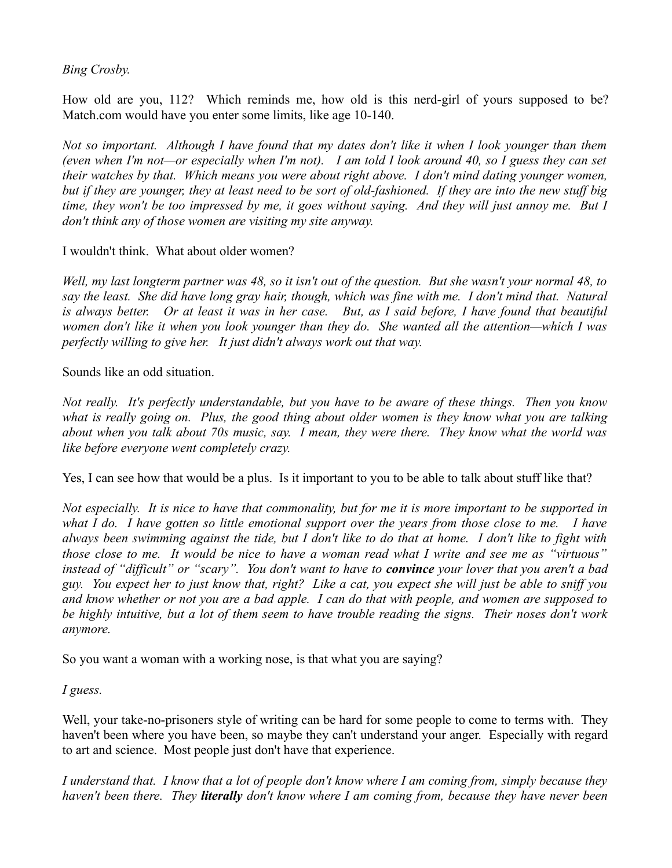### *Bing Crosby.*

How old are you, 112? Which reminds me, how old is this nerd-girl of yours supposed to be? Match.com would have you enter some limits, like age 10-140.

*Not so important. Although I have found that my dates don't like it when I look younger than them (even when I'm not—or especially when I'm not). I am told I look around 40, so I guess they can set their watches by that. Which means you were about right above. I don't mind dating younger women, but if they are younger, they at least need to be sort of old-fashioned. If they are into the new stuff big time, they won't be too impressed by me, it goes without saying. And they will just annoy me. But I don't think any of those women are visiting my site anyway.*

I wouldn't think. What about older women?

*Well, my last longterm partner was 48, so it isn't out of the question. But she wasn't your normal 48, to say the least. She did have long gray hair, though, which was fine with me. I don't mind that. Natural is always better. Or at least it was in her case. But, as I said before, I have found that beautiful women don't like it when you look younger than they do. She wanted all the attention—which I was perfectly willing to give her. It just didn't always work out that way.* 

Sounds like an odd situation.

*Not really. It's perfectly understandable, but you have to be aware of these things. Then you know what is really going on. Plus, the good thing about older women is they know what you are talking about when you talk about 70s music, say. I mean, they were there. They know what the world was like before everyone went completely crazy.* 

Yes, I can see how that would be a plus. Is it important to you to be able to talk about stuff like that?

*Not especially. It is nice to have that commonality, but for me it is more important to be supported in what I do. I have gotten so little emotional support over the years from those close to me. I have always been swimming against the tide, but I don't like to do that at home. I don't like to fight with those close to me. It would be nice to have a woman read what I write and see me as "virtuous" instead of "difficult" or "scary". You don't want to have to convince your lover that you aren't a bad guy. You expect her to just know that, right? Like a cat, you expect she will just be able to sniff you and know whether or not you are a bad apple. I can do that with people, and women are supposed to be highly intuitive, but a lot of them seem to have trouble reading the signs. Their noses don't work anymore.* 

So you want a woman with a working nose, is that what you are saying?

*I guess.* 

Well, your take-no-prisoners style of writing can be hard for some people to come to terms with. They haven't been where you have been, so maybe they can't understand your anger. Especially with regard to art and science. Most people just don't have that experience.

*I understand that. I know that a lot of people don't know where I am coming from, simply because they haven't been there. They literally don't know where I am coming from, because they have never been*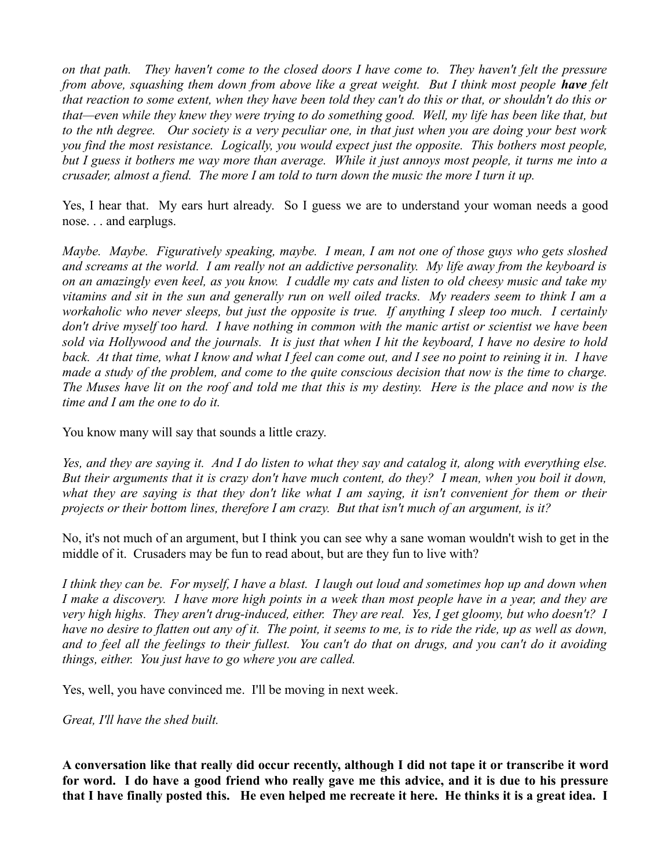*on that path. They haven't come to the closed doors I have come to. They haven't felt the pressure from above, squashing them down from above like a great weight. But I think most people have felt that reaction to some extent, when they have been told they can't do this or that, or shouldn't do this or that—even while they knew they were trying to do something good. Well, my life has been like that, but to the nth degree. Our society is a very peculiar one, in that just when you are doing your best work you find the most resistance. Logically, you would expect just the opposite. This bothers most people, but I guess it bothers me way more than average. While it just annoys most people, it turns me into a crusader, almost a fiend. The more I am told to turn down the music the more I turn it up.* 

Yes, I hear that. My ears hurt already. So I guess we are to understand your woman needs a good nose. . . and earplugs.

*Maybe. Maybe. Figuratively speaking, maybe. I mean, I am not one of those guys who gets sloshed and screams at the world. I am really not an addictive personality. My life away from the keyboard is on an amazingly even keel, as you know. I cuddle my cats and listen to old cheesy music and take my vitamins and sit in the sun and generally run on well oiled tracks. My readers seem to think I am a workaholic who never sleeps, but just the opposite is true. If anything I sleep too much. I certainly don't drive myself too hard. I have nothing in common with the manic artist or scientist we have been sold via Hollywood and the journals. It is just that when I hit the keyboard, I have no desire to hold back. At that time, what I know and what I feel can come out, and I see no point to reining it in. I have made a study of the problem, and come to the quite conscious decision that now is the time to charge. The Muses have lit on the roof and told me that this is my destiny. Here is the place and now is the time and I am the one to do it.* 

You know many will say that sounds a little crazy.

*Yes, and they are saying it. And I do listen to what they say and catalog it, along with everything else. But their arguments that it is crazy don't have much content, do they? I mean, when you boil it down, what they are saying is that they don't like what I am saying, it isn't convenient for them or their projects or their bottom lines, therefore I am crazy. But that isn't much of an argument, is it?* 

No, it's not much of an argument, but I think you can see why a sane woman wouldn't wish to get in the middle of it. Crusaders may be fun to read about, but are they fun to live with?

*I think they can be. For myself, I have a blast. I laugh out loud and sometimes hop up and down when I make a discovery. I have more high points in a week than most people have in a year, and they are very high highs. They aren't drug-induced, either. They are real. Yes, I get gloomy, but who doesn't? I have no desire to flatten out any of it. The point, it seems to me, is to ride the ride, up as well as down, and to feel all the feelings to their fullest. You can't do that on drugs, and you can't do it avoiding things, either. You just have to go where you are called.* 

Yes, well, you have convinced me. I'll be moving in next week.

*Great, I'll have the shed built.* 

**A conversation like that really did occur recently, although I did not tape it or transcribe it word for word. I do have a good friend who really gave me this advice, and it is due to his pressure that I have finally posted this. He even helped me recreate it here. He thinks it is a great idea. I**